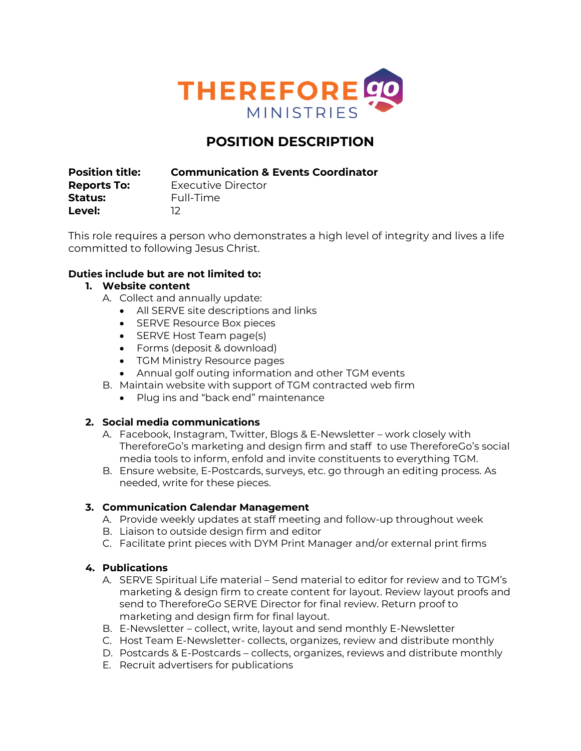

# **POSITION DESCRIPTION**

**Position title: Communication & Events Coordinator**

**Status:** Full-Time **Level:** 12

**Reports To:** Executive Director

This role requires a person who demonstrates a high level of integrity and lives a life committed to following Jesus Christ.

## **Duties include but are not limited to:**

## **1. Website content**

- A. Collect and annually update:
	- All SERVE site descriptions and links
	- SERVE Resource Box pieces
	- SERVE Host Team page(s)
	- Forms (deposit & download)
	- TGM Ministry Resource pages
	- Annual golf outing information and other TGM events
- B. Maintain website with support of TGM contracted web firm
	- Plug ins and "back end" maintenance

### **2. Social media communications**

- A. Facebook, Instagram, Twitter, Blogs & E-Newsletter work closely with ThereforeGo's marketing and design firm and staff to use ThereforeGo's social media tools to inform, enfold and invite constituents to everything TGM.
- B. Ensure website, E-Postcards, surveys, etc. go through an editing process. As needed, write for these pieces.

### **3. Communication Calendar Management**

- A. Provide weekly updates at staff meeting and follow-up throughout week
- B. Liaison to outside design firm and editor
- C. Facilitate print pieces with DYM Print Manager and/or external print firms

### **4. Publications**

- A. SERVE Spiritual Life material Send material to editor for review and to TGM's marketing & design firm to create content for layout. Review layout proofs and send to ThereforeGo SERVE Director for final review. Return proof to marketing and design firm for final layout.
- B. E-Newsletter collect, write, layout and send monthly E-Newsletter
- C. Host Team E-Newsletter- collects, organizes, review and distribute monthly
- D. Postcards & E-Postcards collects, organizes, reviews and distribute monthly
- E. Recruit advertisers for publications